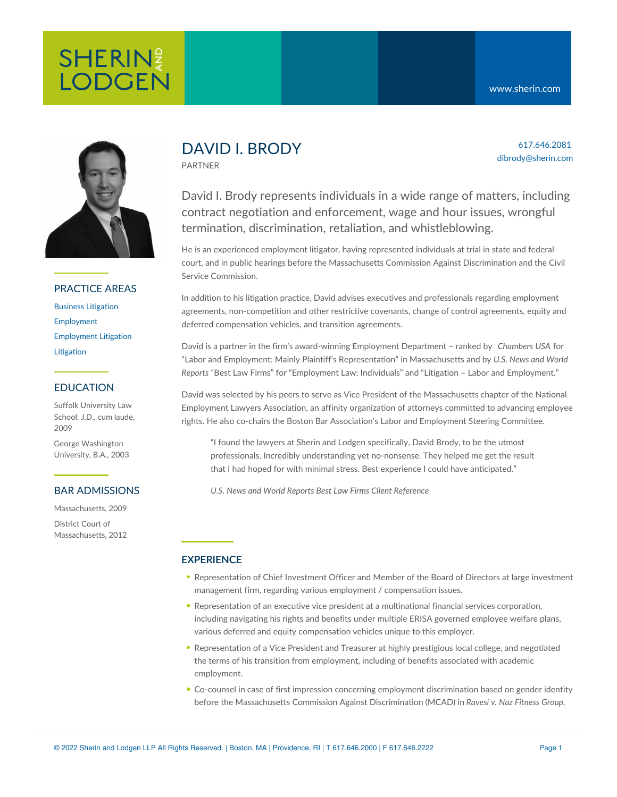# **SHERIN**<sup>2</sup> **LODGEN**

617.646.2081 dibrody@sherin.com



# PRACTICE AREAS

Business [Litigation](https://www.sherin.com/practice-areas/litigation/business-litigation/) [Employment](https://www.sherin.com/practice-areas/employment/) [Employment](https://www.sherin.com/practice-areas/litigation/employment-litigation/) Litigation **[Litigation](https://www.sherin.com/practice-areas/litigation/)** 

## EDUCATION

Suffolk University Law School, J.D., cum laude, 2009

George Washington University, B.A., 2003

### BAR ADMISSIONS

Massachusetts, 2009 District Court of Massachusetts, 2012

# DAVID I. BRODY

PARTNER

David I. Brody represents individuals in a wide range of matters, including contract negotiation and enforcement, wage and hour issues, wrongful termination, discrimination, retaliation, and whistleblowing.

He is an experienced employment litigator, having represented individuals at trial in state and federal court, and in public hearings before the Massachusetts Commission Against Discrimination and the Civil Service Commission.

In addition to his litigation practice, David advises executives and professionals regarding employment agreements, non-competition and other restrictive covenants, change of control agreements, equity and deferred compensation vehicles, and transition agreements.

David is a partner in the firm's award-winning Employment Department – ranked by *Chambers USA* for "Labor and Employment: Mainly Plaintiff's Representation" in Massachusetts and by *U.S. News and World Reports* "Best Law Firms" for "Employment Law: Individuals" and "Litigation – Labor and Employment."

David was selected by his peers to serve as Vice President of the Massachusetts chapter of the National Employment Lawyers Association, an affinity organization of attorneys committed to advancing employee rights. He also co-chairs the Boston Bar Association's Labor and Employment Steering Committee.

"I found the lawyers at Sherin and Lodgen specifically, David Brody, to be the utmost professionals. Incredibly understanding yet no-nonsense. They helped me get the result that I had hoped for with minimal stress. Best experience I could have anticipated."

*U.S. News and World Reports Best Law Firms Client [Reference](https://bestlawfirms.usnews.com/profile/sherin-and-lodgen-llp/client-comments/17135)*

# **EXPERIENCE**

- Representation of Chief Investment Officer and Member of the Board of Directors at large investment management firm, regarding various employment / compensation issues.
- Representation of an executive vice president at a multinational financial services corporation, including navigating his rights and benefits under multiple ERISA governed employee welfare plans, various deferred and equity compensation vehicles unique to this employer.
- Representation of a Vice President and Treasurer at highly prestigious local college, and negotiated the terms of his transition from employment, including of benefits associated with academic employment.
- Co-counsel in case of first impression concerning employment discrimination based on gender identity before the Massachusetts Commission Against Discrimination (MCAD) in *Ravesi v. Naz Fitness Group,*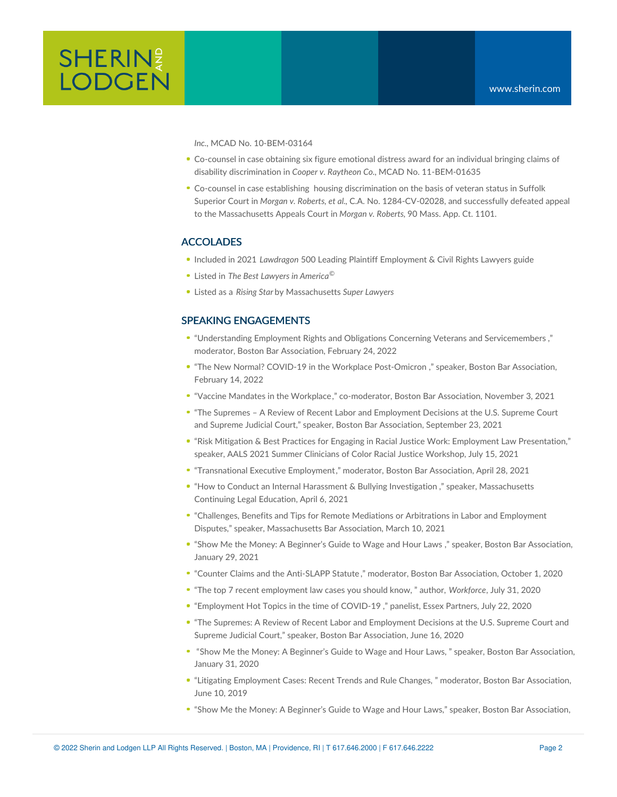

*Inc*., MCAD No. 10-BEM-03164

- Co-counsel in case obtaining six figure emotional distress award for an individual bringing claims of disability discrimination in *Cooper v. Raytheon Co*., MCAD No. 11-BEM-01635
- Co-counsel in case establishing housing discrimination on the basis of veteran status in Suffolk Superior Court in *Morgan v. Roberts, et al.*, C.A. No. 1284-CV-02028, and successfully defeated appeal to the Massachusetts Appeals Court in *Morgan v. Roberts*, 90 Mass. App. Ct. 1101.

#### ACCOLADES

- Included in 2021 *Lawdragon* 500 Leading Plaintiff Employment & Civil Rights Lawyers guide
- Listed in *The Best Lawyers in America ©*
- Listed as a *Rising Star* by Massachusetts *Super Lawyers*

### SPEAKING ENGAGEMENTS

- "Understanding Employment Rights and Obligations Concerning Veterans and [Servicemembers](https://bostonbar.org/membership/events/event-details?ID=38567) ," moderator, Boston Bar Association, February 24, 2022
- "The New Normal? COVID-19 in the Workplace [Post-Omicron](https://bostonbar.org/membership/events/event-details?ID=38774) ," speaker, Boston Bar Association, February 14, 2022
- "Vaccine Mandates in the [Workplace](https://bostonbar.org/membership/events/event-details?ID=38318)," co-moderator, Boston Bar Association, November 3, 2021
- "The Supremes A Review of Recent Labor and [Employment](https://bostonbar.org/membership/events/event-details?ID=37402) Decisions at the U.S. Supreme Court and Supreme Judicial Court," speaker, Boston Bar Association, September 23, 2021
- "Risk Mitigation & Best Practices for Engaging in Racial Justice Work: Employment Law Presentation," speaker, AALS 2021 Summer Clinicians of Color Racial Justice Workshop, July 15, 2021
- "[Transnational](https://bostonbar.org/membership/events/event-details?ID=37490) Executive Employment," moderator, Boston Bar Association, April 28, 2021
- "How to Conduct an Internal Harassment & Bullying [Investigation](https://www.mcle.org/product/catalog/code/2210136RB1) ," speaker, Massachusetts Continuing Legal Education, April 6, 2021
- "Challenges, Benefits and Tips for Remote Mediations or Arbitrations in Labor and Employment Disputes," speaker, [Massachusetts](https://www.massbar.org/events/cle-program?productId=8207&kitId=8211&view=month) Bar Association, March 10, 2021
- "Show Me the Money: A [Beginner's](https://bostonbar.org/membership/events/event-details?ID=36764) Guide to Wage and Hour Laws ," speaker, Boston Bar Association, January 29, 2021
- "Counter Claims and the [Anti-SLAPP](https://bostonbar.org/membership/events/event-details?ID=36317) Statute ," moderator, Boston Bar Association, October 1, 2020
- "The top 7 recent [employment](https://www.workforce.com/news/the-top-7-recent-employment-law-cases-you-should-know) law cases you should know, " author, *Workforce*, July 31, 2020
- "[Employment](https://youtu.be/MQoJEPrTFm8) Hot Topics in the time of COVID-19 ," panelist, Essex Partners, July 22, 2020
- "The Supremes: A Review of Recent Labor and Employment Decisions at the U.S. Supreme Court and Supreme Judicial Court," speaker, Boston Bar Association, June 16, 2020
- "Show Me the Money: A [Beginner's](https://bostonbar.org/mobile/mobile-calendar/mobile-event-details?ID=33657) Guide to Wage and Hour Laws, " speaker, Boston Bar Association, January 31, 2020
- "Litigating [Employment](https://www.bostonbar.org/membership/events/event-details?ID=28965) Cases: Recent Trends and Rule Changes, " moderator, Boston Bar Association, June 10, 2019
- "Show Me the Money: A Beginner's Guide to Wage and Hour Laws," speaker, Boston Bar Association,